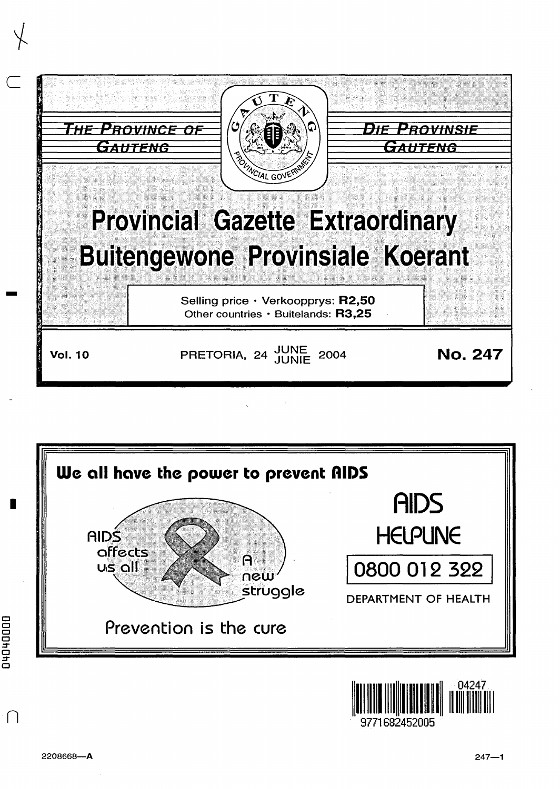





0000+0+0+0

 $\bigcap$ 

I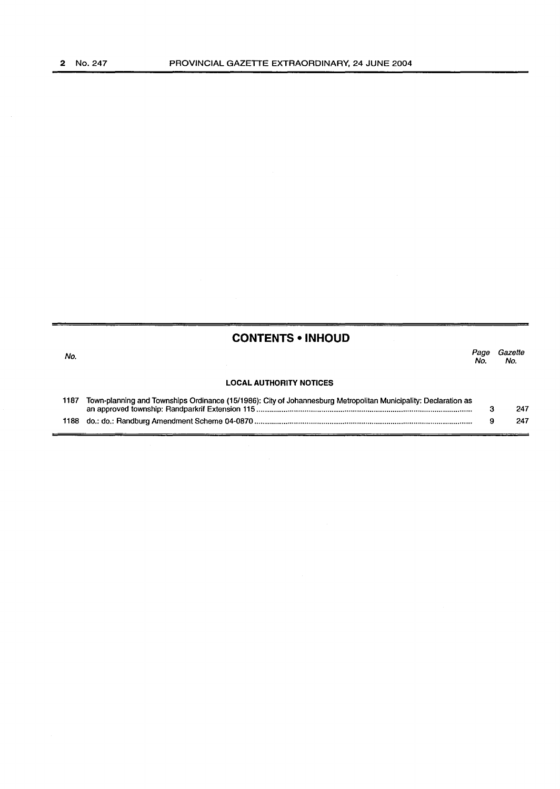×.

|      | <b>CONTENTS • INHOUD</b>                                                                                        |             |                |
|------|-----------------------------------------------------------------------------------------------------------------|-------------|----------------|
| No.  |                                                                                                                 | Page<br>No. | Gazette<br>No. |
|      | <b>LOCAL AUTHORITY NOTICES</b>                                                                                  |             |                |
| 1187 | Town-planning and Townships Ordinance (15/1986): City of Johannesburg Metropolitan Municipality: Declaration as |             | 247            |
| 1188 |                                                                                                                 | 9           | 247            |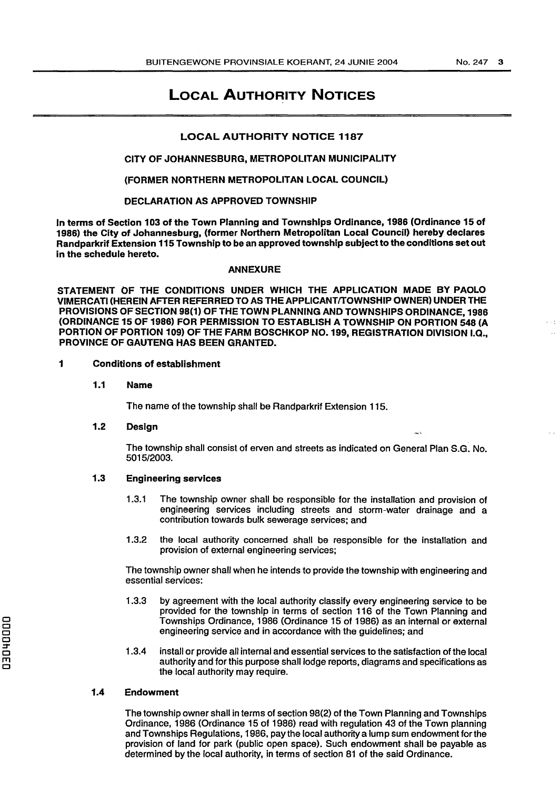## LOCAL AUTHORITY NOTICES

### LOCAL AUTHORITY NOTICE 1187

#### CITY OF JOHANNESBURG, METROPOLITAN MUNICIPALITY

#### {FORMER NORTHERN METROPOLITAN LOCAL COUNCIL)

#### DECLARATION AS APPROVED TOWNSHIP

In terms of Section 103 of the Town Planning and Townships Ordinance, 1986 (Ordinance 15 of 1986) the City of Johannesburg, {former Northern Metropolitan Local Council) hereby declares Randparkrif Extension 115 Township to be an approved township subject to the conditions set out in the schedule hereto.

#### ANNEXURE

STATEMENT OF THE CONDITIONS UNDER WHICH THE APPLICATION MADE BY PAOLO VIMERCATI (HEREIN AFTER REFERRED TO AS THE APPLICANT/TOWNSHIP OWNER) UNDER THE PROVISIONS OF SECTION 98(1) OF THE TOWN PLANNING AND TOWNSHIPS ORDINANCE, 1986 (ORDINANCE 15 OF 1986) FOR PERMISSION TO ESTABLISH A TOWNSHIP ON PORTION 548 (A PORTION OF PORTION 109) OF THE FARM BOSCHKOP NO. 199, REGISTRATION DIVISION I.Q., PROVINCE OF GAUTENG HAS BEEN GRANTED.

#### 1 Conditions of establishment

1.1 Name

The name of the township shall be Randparkrif Extension 115.

#### 1.2 Design

The township shall consist of erven and streets as indicated on General Plan S.G. No. 5015/2003.

## 1.3 Engineering services

- 1.3.1 The township owner shall be responsible for the installation and provision of engineering services including streets and storm-water drainage and a contribution towards bulk sewerage services; and
- 1.3.2 the local authority concerned shall be responsible for the installation and provision of external engineering services;

The township owner shall when he intends to provide the township with engineering and essential services:

- 1.3.3 by agreement with the local authority classify every engineering service to be provided for the township in terms of section 116 of the Town Planning and Townships Ordinance, 1986 (Ordinance 15 of 1986) as an internal or external engineering service and in accordance with the guidelines; and
- 1 .3.4 install or provide all internal and essential services to the satisfaction of the local authority and for this purpose shall lodge reports, diagrams and specifications as the local authority may require.

#### 1.4 Endowment

The township owner shall in terms of section 98(2) of the Town Planning and Townships Ordinance, 1986 (Ordinance 15 of 1986) read with regulation 43 of the Town planning and Townships Regulations, 1986, pay the local authority a lump sum endowment for the provision of land for park (public open space). Such endowment shall be payable as determined by the local authority, in terms of section 81 of the said Ordinance.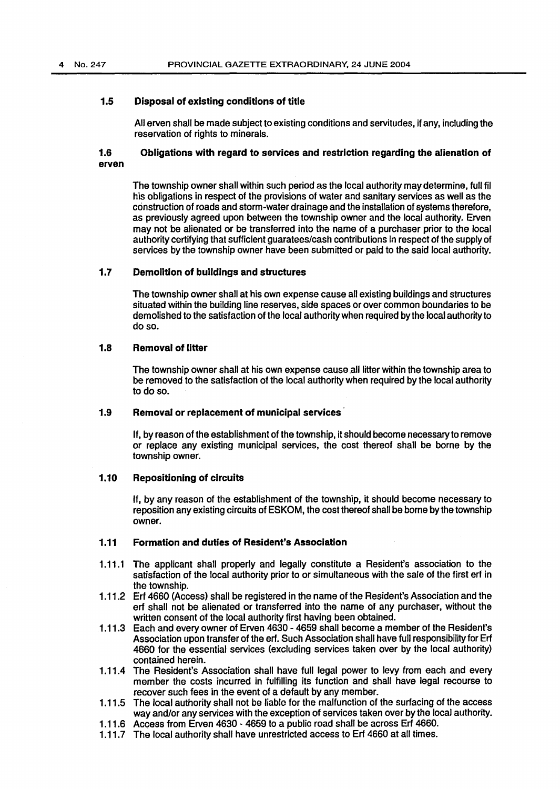#### 1.5 Disposal of existing conditions of title

All erven shall be made subject to existing conditions and servitudes, if any, including the reservation of rights to minerals.

### 1.6 Obligations with regard to services and restriction regarding the alienation of erven

The township owner shall within such period as the local authority may determine, fullfil his obligations in respect of the provisions of water and sanitary services as well as the construction of roads and storm-water drainage and the installation of systems therefore, as previously agreed upon between the township owner and the local authority. Erven may not be alienated or be transferred into the name of a purchaser prior to the local authority certifying that sufficient guaratees/cash contributions in respect of the supply of services by the township owner have been submitted or paid to the said local authority.

#### 1.7 Demolition of buildings and structures

The township owner shall at his own expense cause all existing buildings and structures situated within the building line reserves, side spaces or over common boundaries to be demolished to the satisfaction of the local authority when required by the local authority to do so.

#### 1.8 Removal of litter

The township owner shall at his own expense cause all litter within the township area to be removed to the satisfaction of the local authority when required by the local authority to do so.

#### 1.9 Removal or replacement of municipal services

If, by reason of the establishment of the township, it should become necessary to remove or replace any existing municipal services, the cost thereof shall be borne by the township owner.

#### 1.10 Repositioning of circuits

If, by any reason of the establishment of the township, it should become necessary to reposition any existing circuits of ESKOM, the cost thereof shall be borne by the township owner.

#### 1.11 Formation and duties of Resident's Association

- 1.11.1 The applicant shall properly and legally constitute a Resident's association to the satisfaction of the local authority prior to or simultaneous with the sale of the first erf in the township.
- 1.11.2 Erf 4660 (Access) shall be registered in the name of the Resident's Association and the erf shall not be alienated or transferred into the name of any purchaser, without the written consent of the local authority first having been obtained.
- 1.11.3 Each and every owner of Erven 4630 4659 shall become a member of the Resident's Association upon transfer of the erf. Such Association shall have full responsibility for Erf 4660 for the essential services (excluding services taken over by the local authority) contained herein.
- 1.11.4 The Resident's Association shall have full legal power to levy from each and every member the costs incurred in fulfilling its function and shall have legal recourse to recover such fees in the event of a default by any member.
- 1.11.5 The local authority shall not be liable for the malfunction of the surfacing of the access way and/or any services with the exception of services taken over by the local authority.
- 1.11.6 Access from Erven 4630 4659 to a public road shall be across Erf 4660.
- 1.11.7 The local authority shall have unrestricted access to Erf 4660 at all times.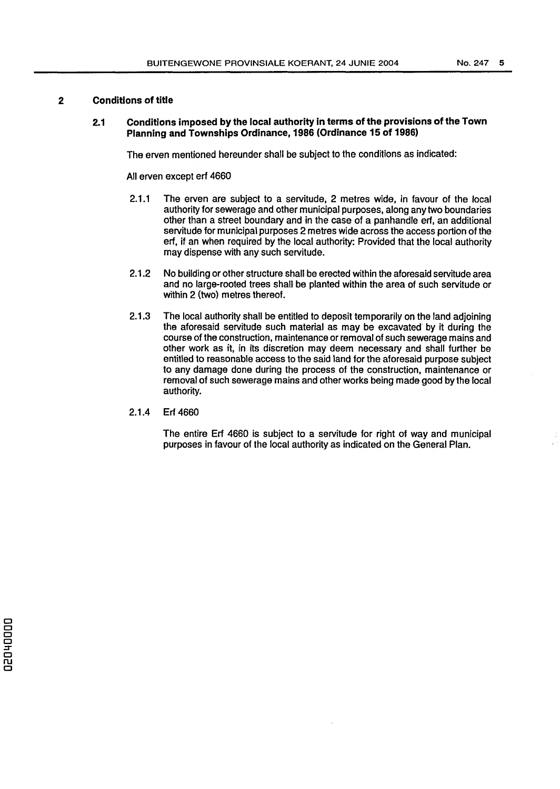## **2 Conditions of title**

#### **2.1 Conditions imposed by the local authority In terms of the provisions of the Town Planning and Townships Ordinance, 1986 (Ordinance 15 of 1986)**

The erven mentioned hereunder shall be subject to the conditions as indicated:

All erven except erf 4660

- 2.1.1 The erven are subject to a servitude, 2 metres wide, in favour of the local authority for sewerage and other municipal purposes, along any two boundaries other than a street boundary and in the case of a panhandle erf, an additional servitude for municipal purposes 2 metres wide across the access portion of the erf, if an when required by the local authority: Provided that the local authority may dispense with any such servitude.
- 2.1.2 No building or other structure shall be erected within the aforesaid servitude area and no large-rooted trees shall be planted within the area of such servitude or within 2 (two) metres thereof.
- 2.1.3 The local authority shall be entitled to deposit temporarily on the land adjoining the aforesaid servitude such material as may be excavated by *it* during the course of the construction, maintenance or removal of such sewerage mains and other work as it, in its discretion may deem necessary and shall further be entitled to reasonable access to the said land for the aforesaid purpose subject to any damage done during the process of the construction, maintenance or removal of such sewerage mains and other works being made good by the local authority.
- 2.1.4 Erf 4660

The entire Erf 4660 is subject to a servitude for right of way and municipal purposes in favour of the local authority as indicated on the General Plan.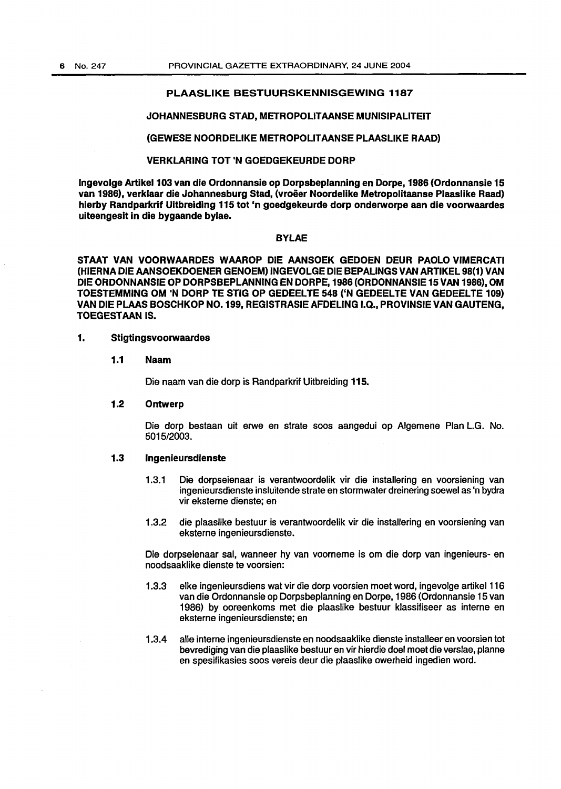#### PLAASLIKE BESTUURSKENNISGEWING 1187

#### JOHANNESBURG STAD, METROPOLITAANSE MUNISIPALITEIT

#### (GEWESE NOORDELIKE METROPOLIT AANSE PLAASLIKE RAAD)

### VERKLARING TOT 'N GOEDGEKEURDE DORP

Jngevolge Artikel103 van die Ordonnansie op Dorpsbeplanning en Dorpe,1986 (Ordonnansie 15 van 1986), verklaar die Johannesburg Stad, (vroeer Noordelike Metropolitaanse Plaaslike Raad) hierby Randparkrif Ultbreiding 115 tot 'n goedgekeurde dorp onderworpe aan die voorwaardes uiteengeslt in die bygaande bylae.

#### BYLAE

STAAT VAN VOORWAARDES WAAROP DIE AANSOEK GEDOEN DEUR PAOLO VIMERCATI (HIERNA DIE AANSOEKDOENER GENOEM) INGEVOLGE DIE BEPALINGS VAN ARTIKEL 98(1) VAN DIE ORDONNANSIE OP DORPSBEPLANNING EN DORPE, 1986 (ORDONNANSIE 15 VAN 1986), OM TOESTEMMING OM 'N DORP TE STIG OP GEDEELTE 548 ('N GEDEELTE VAN GEDEELTE 109) VAN DIE PLAAS BOSCHKOP N0.199, REGISTRASIE AFDELING I.Q., PROVINSIE VAN GAUTENG, TOEGESTAAN IS.

#### 1. Stigtingsvoorwaardes

#### 1.1 Naam

Die naam van die dorp is Randparkrif Uitbreiding 115.

#### 1.2 Ontwerp

Die dorp bestaan uit erwe en strate soos aangedui op Algemene Plan L.G. No. 5015/2003.

## 1.3 lngenleursdlenste

- 1.3.1 Die dorpseienaar is verantwoordelik vir die installering en voorsiening van ingenieursdienste insluitende strate en storm water dreinering soewel as 'n bydra vir eksterne dienste; en
- 1.3.2 die plaaslike bestuur is verantwoordelik vir die installering en voorsiening van eksterne ingenieursdienste.

Die dorpseienaar sal, wanneer hy van voorneme is om die dorp van ingenieurs- en noodsaaklike dienste te voorsien:

- 1.3.3 elke ingenieursdiens wat vir die dorp voorsien moet word, ingevolge artikel116 van die Ordonnansie op Dorpsbeplanning en Dorpe, 1986 (Ordonnansie 15 van 1986) by ooreenkoms met die plaaslike bestuur klassifiseer as interne en eksterne ingenieursdienste; en
- 1.3.4 aile interne ingenieursdienste en noodsaaklike dienste installeer en voorsien tot bevrediging van die plaaslike bestuur en vir hierdie doel moet die verslae, planne en spesifikasies soos vereis deur die plaaslike owerheid ingedien word.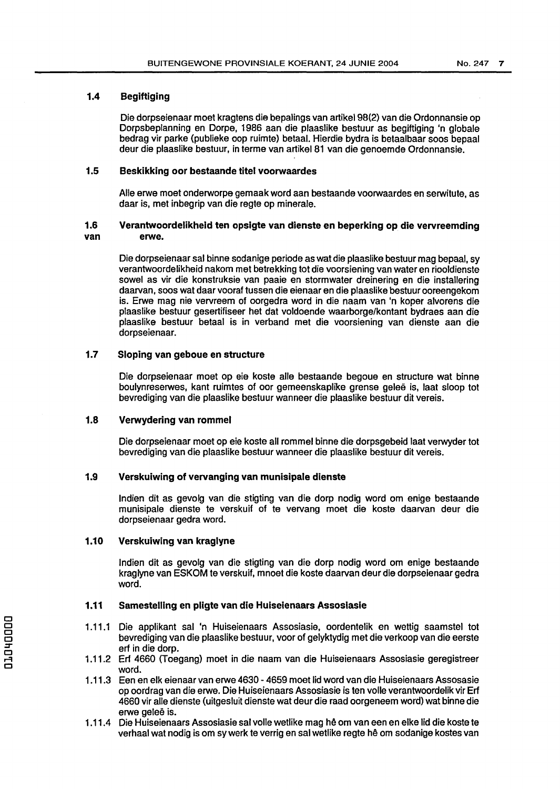#### 1.4 Begiftiging

Die dorpseienaar moat kragtens die bepalings van artikel98(2) van die Ordonnansie op Dorpsbeplanning en Dorpe, 1986 aan die plaaslike bestuur as begiftiging 'n globale bedrag vir parke (publieke oop ruimte) betaal. Hierdie bydra is betaalbaar soos bepaal deur die plaaslike bestuur, in terme van artikel 81 van die genoemde Ordonnansie.

#### 1.5 Beskikking oor bestaande titel voorwaardes

Aile erwe moet onderworpe gemaak word aan bestaande voorwaardes en serwitute, as daar is, met inbegrip van die regte op minerale.

#### 1.6 Verantwoordelikheid ten opsigte van dienste en beperking op die vervreemding van erwe.

Die dorpseienaar sal binne sodanige periode as wat die plaaslike bestuur mag bepaal, sy verantwoordelikheid nakom met betrekking tot die voorsiening van water en riooldienste sowel as vir die konstruksie van paaie en stormwater dreinering en die installering daarvan, soos wat daar vooraf tussen die eienaar en die plaaslike bestuur ooreengekom is. Erwe mag nie vervreem of oorgedra word in die naam van 'n koper alvorens die plaaslike bestuur gesertifiseer het dat voldoende waarborge/kontant bydraes aan die plaaslike bestuur betaal is in verband met die voorsiening van dienste aan die dorpseienaar.

## 1.7 Sloping van geboue en structure

Die dorpseienaar moet op eie koste aile bestaande begoue en structure wat binne boulynreserwes, kant ruimtes of oor gemeenskaplike grense galee is, laat sloop tot bevrediging van die plaaslike bestuur wanneer die plaaslike bestuur dit vereis.

### 1.8 Verwydering van rommel

Die dorpseienaar moet op eie koste all rommel binne die dorpsgebeid laat verwyder tot bevrediging van die plaaslike bestuur wanneer die plaaslike bestuur dit vereis.

#### 1.9 Verskuiwing of vervanging van munisipale dienste

lndien dit as gevolg van die stigting van die dorp nodig word om enige bestaande munisipale dienste te verskuif of te vervang moet die koste daarvan deur die dorpseienaar gedra word.

#### 1.10 Verskuiwing van kraglyne

Indian dit as gevolg van die stigting van die dorp nodig word om enige bestaande kraglyne van ESKOM te verskuif, mnoet die koste daarvan deur die dorpseienaar gedra word.

#### 1.11 Samestelllng en pllgte van die Huiselenaars Assoslasie

- 1.11.1 Die applikant sal 'n Huiseienaars Assosiasie, oordentelik en wettig saamstel tot bevrediging van die plaaslike bestuur, voor of gelyktydig met die verkoop van die eerste erf in die dorp.
- 1.11.2 Erf 4660 (Toegang) moet in die naam van die Huiseienaars Assosiasie geregistreer word.
- 1.11.3 Een en elk eienaar van erwe 4630 - 4659 moet lid word van die Huiseienaars Assosasie op oordrag van die erwe. Die Huiseienaars Assosiasie is ten volle verantwoordelik vir Erf 4660 vir aile dienste (uitgesluit dienste wat deur die raad oorgeneem word) wat binne die erwe geleë is.
- 1.11.4 Die Huiseienaars Assosiasie sal volle wetlike mag he om van een en elke lid die koste te verhaal wat nodig is om sy werk te verrig en sal wetlike regte he om sodanige kostes van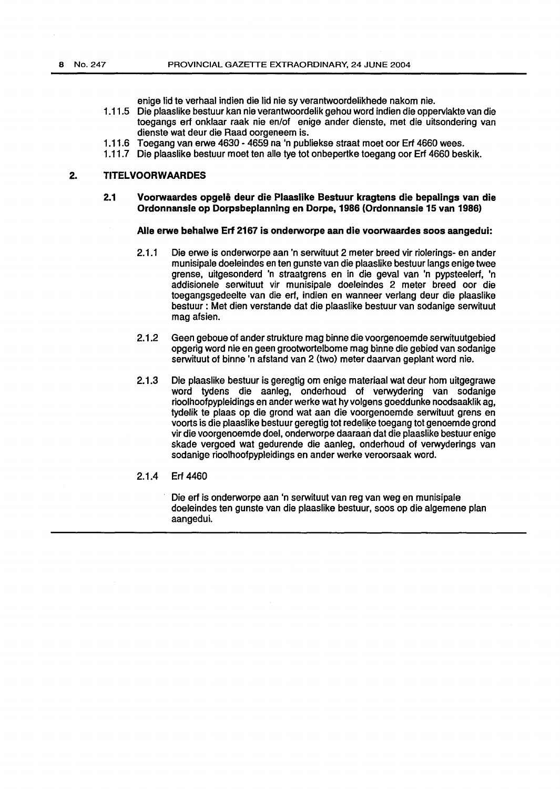enige lid te verhaal indien die lid nie sy verantwoordelikhede nakom nie.

- 1.11.5 Die plaaslike bestuur kan nie verantwoordelik gehou word indien die oppervlakte van die toegangs erf onklaar raak nie en/of enige ander dienste, met die uitsondering van dienste wat deur die Raad oorgeneem is.
- 1.11.6 Toegang van erwe 4630- 4659 na 'n publiekse straat meet oor Erf 4660 wees.
- 1.11.7 Die plaaslike bestuur meet ten aile tye tot onbepertke toegang oor Erf 4660 beskik.

#### 2. TITELVOORWAARDES

#### 2.1 Voorwaardes opgelê deur die Plaaslike Bestuur kragtens die bepalings van die Ordonnansle op Dorpsbeplanning en Dorpe,1986 {Ordonnansie 15 van 1986)

#### Aile erwe behalwe Erf 2167 is onderworpe aan die voorwaardes soos aangedui:

- 2.1.1 Die erwe is onderworpe aan 'n serwituut 2 meter breed vir riolerings- en ander munisipale doeleindes en ten gunste van die plaaslike bestuur langs enige twee grense, uitgesonderd 'n straatgrens en in die geval van 'n pypsteelerf, 'n addisionele serwituut vir munisipale doeleindes 2 meter breed oor die toegangsgedeelte van die erf, indien en wanneer verlang deur die plaaslike bestuur : Met dien verstande dat die plaaslike bestuur van sodanige serwituut mag afsien.
- 2.1.2 Geen geboue of ander strukture mag binne die voorgenoemde serwituutgebied opgerig word nie en geen grootwortelbome mag binne die gebied van sodanige serwituut of binne 'n afstand van 2 (two) meter daarvan geplant word nie.
- 2.1.3 Die plaaslike bestuur is geregtig om enige materiaal wat deur hom uitgegrawe word tydens die aanleg, onderhoud of verwydering van sodanige rioolhoofpypleidings en ander werke wat hy volgens goeddunke noodsaaklik ag, tydelik te plaas op die grond wat aan die voorgenoemde serwituut grens en voorts is die plaaslike bestuur geregtig tot redelike toegang tot genoemde grond vir die voorgenoemde doe!, onderworpe daaraari dat die plaaslike bestuur enige skade vergoed wat gedurende die aanleg, onderhoud of verwyderings van sodanige rioolhoofpypleidings en ander werke veroorsaak word.
- 2.1.4 Erf 4460

Die erf is onderworpe aan 'n serwituut van reg van weg en munisipale doeleindes ten gunste van die plaaslike bestuur, soos op die algemene plan aangedui.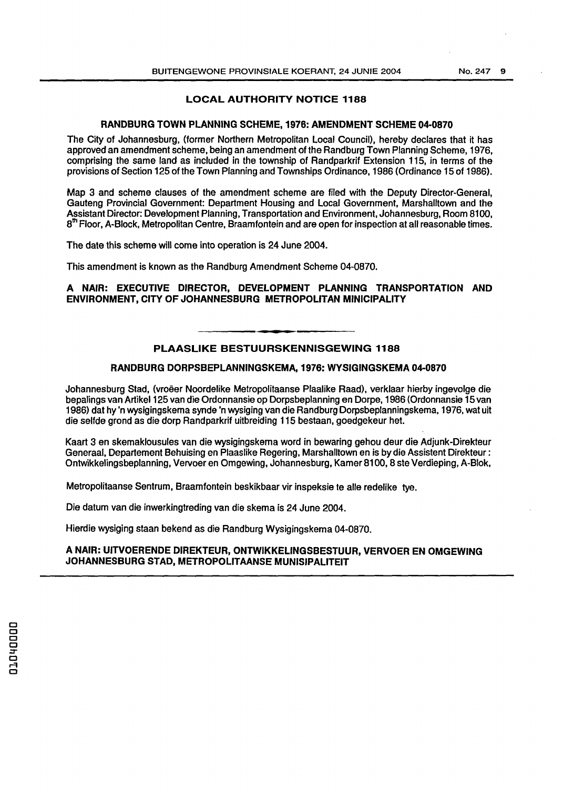## LOCAL AUTHORITY NOTICE 1188

#### RANDBURG TOWN PLANNING SCHEME, 1976: AMENDMENT SCHEME 04-0870

The City of Johannesburg, (former Northern Metropolitan Local Council), hereby declares that it has approved an amendment scheme, being an amendment of the Randburg Town Planning Scheme, 1976, comprising the same land as included in the township of Randparkrif Extension 115, in terms of the provisions of Section 125 of the Town Planning and Townships Ordinance, 1986 (Ordinance 15 of 1986).

Map 3 and scheme clauses of the amendment scheme are filed with the Deputy Director-General, Gauteng Provincial Government: Department Housing and Local Government, Marshalltown and the Assistant Director: Development Planning, Transportation and Environment, Johannesburg, Room 8100, 8<sup>th</sup> Floor, A-Block, Metropolitan Centre, Braamfontein and are open for inspection at all reasonable times.

The date this scheme will come into operation is 24 June 2004.

This amendment is known as the Randburg Amendment Scheme 04-0870.

### A NAIR: EXECUTIVE DIRECTOR, DEVELOPMENT PLANNING TRANSPORTATION AND ENVIRONMENT, CITY OF JOHANNESBURG METROPOLITAN MINICIPALITY

## PLAASLIKE BESTUURSKENNISGEWING 1188

### RANDBURG DORPSBEPLANNINGSKEMA, 1976: WYSIGINGSKEMA 04-0870

Johannesburg Stad, (vroeer Noordelike Metropolitaanse Plaalike Raad), verklaar hierby ingevolge die be palings van Artikel125 van die Ordonnansie op Dorpsbeplanning en Dorpe, 1986 (Ordonnansie 15 van 1986) dat hy 'n wysigingskema synde 'n wysiging van die Rand burg Dorpsbeplanningskema, 1976, wat uit die selfde grond as die dorp Randparkrif uitbreiding 115 bestaan, goedgekeur het.

Kaart 3 en skemaklousules van die wysigingskema word in bewaring gehou deur die Adjunk-Direkteur Generaal, Departement Behuising en Plaaslike Regering, Marshalltown en is by die Assistant Direkteur : Ontwikkelingsbeplanning, Vervoer en Omgewing, Johannesburg, Kamer 81 00, 8 ste Verdieping, A-Biok,

Metropolitaanse Sentrum, Braamfontein beskikbaar vir inspeksie te aile redelike tye.

Die datum van die inwerkingtreding van die skema is 24 June 2004.

Hierdie wysiging staan bekend as die Randburg Wysigingskema 04-0870.

#### A NAIR: UITVOERENDE DIREKTEUR, ONTWIKKELINGSBESTUUR, VERVOER EN OMGEWING JOHANNESBURG STAD, METROPOLITAANSE MUNISIPALITEIT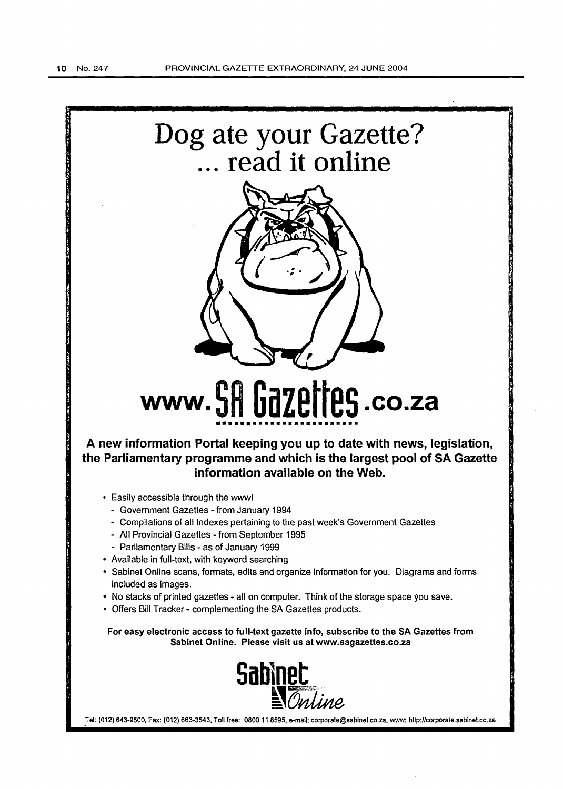

- No stacks of printed gazettes- all on computer. Think of the storage space you save.
- Offers Bill Tracker- complementing the SA Gazettes products.

For easy electronic access to full-text gazette info, subscribe to the SA Gazettes from Sabinet Online. Please visit us at www.sagazettes.co.za



Tel: (012) 643-9500, Fax: (012) 663-3543, Toll free: 0800 11 8595, e-mail: corporate@sabinet.co.za, www: http://corporate.sabinet.co.za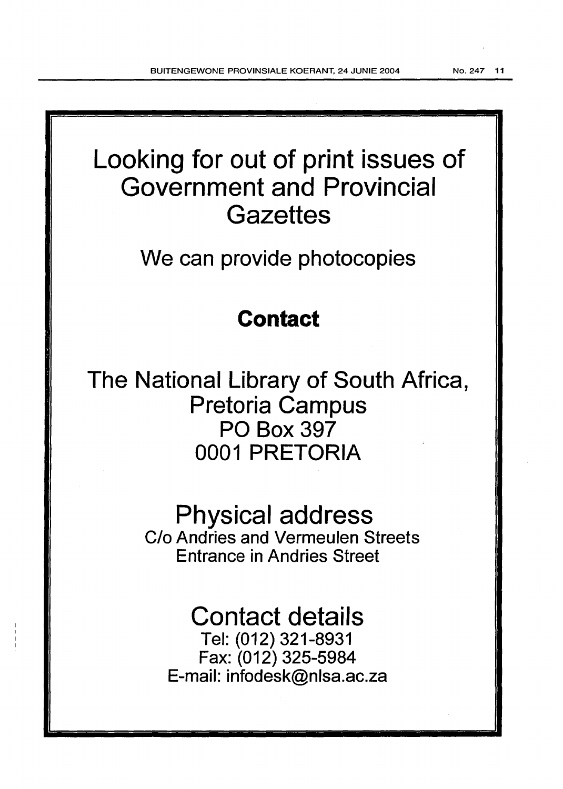Looking for out of print issues of Government and Provincial **Gazettes** 

We can provide photocopies

# **Contact**

The National Library of South Africa, Pretoria Campus PO Box 397 0001 PRETORIA

> Physical address C/o Andries and Vermeulen Streets Entrance in Andries Street

# Contact details

Tel: (012) 321-8931 Fax: (012) 325-5984 E-mail: infodesk@nlsa.ac.za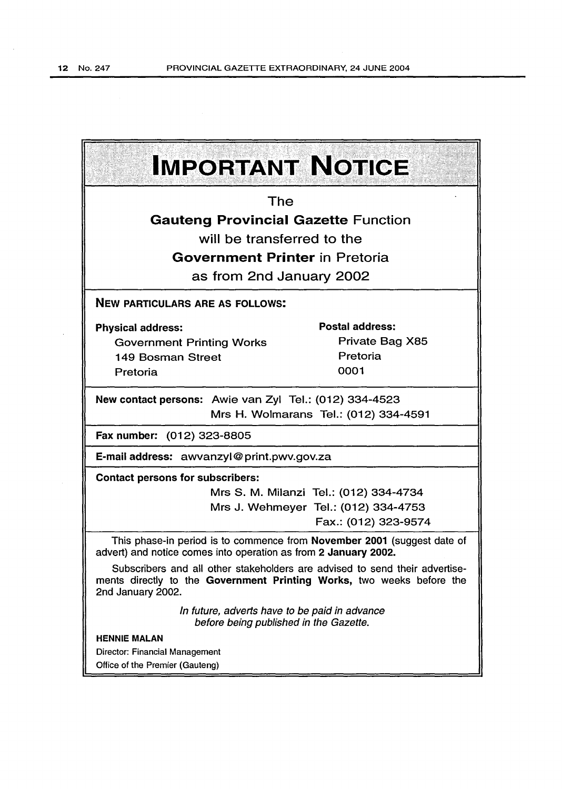$\sim$ 

 $\hat{\mathcal{A}}$ 

| <b>IMPORTANT NOTICE</b>                                                                                                                                                   |                                      |  |  |  |
|---------------------------------------------------------------------------------------------------------------------------------------------------------------------------|--------------------------------------|--|--|--|
| The                                                                                                                                                                       |                                      |  |  |  |
| <b>Gauteng Provincial Gazette Function</b>                                                                                                                                |                                      |  |  |  |
| will be transferred to the                                                                                                                                                |                                      |  |  |  |
| <b>Government Printer</b> in Pretoria                                                                                                                                     |                                      |  |  |  |
| as from 2nd January 2002                                                                                                                                                  |                                      |  |  |  |
| <b>NEW PARTICULARS ARE AS FOLLOWS:</b>                                                                                                                                    |                                      |  |  |  |
| <b>Physical address:</b>                                                                                                                                                  | <b>Postal address:</b>               |  |  |  |
| <b>Government Printing Works</b>                                                                                                                                          | Private Bag X85                      |  |  |  |
| 149 Bosman Street                                                                                                                                                         | Pretoria                             |  |  |  |
| Pretoria                                                                                                                                                                  | 0001                                 |  |  |  |
| New contact persons: Awie van Zyl Tel.: (012) 334-4523<br>Mrs H. Wolmarans Tel.: (012) 334-4591                                                                           |                                      |  |  |  |
| Fax number: (012) 323-8805                                                                                                                                                |                                      |  |  |  |
| E-mail address: awvanzyl@print.pwv.gov.za                                                                                                                                 |                                      |  |  |  |
| <b>Contact persons for subscribers:</b>                                                                                                                                   |                                      |  |  |  |
| Mrs S. M. Milanzi Tel.: (012) 334-4734                                                                                                                                    |                                      |  |  |  |
|                                                                                                                                                                           | Mrs J. Wehmeyer Tel.: (012) 334-4753 |  |  |  |
|                                                                                                                                                                           | Fax.: (012) 323-9574                 |  |  |  |
| This phase-in period is to commence from November 2001 (suggest date of<br>advert) and notice comes into operation as from 2 January 2002.                                |                                      |  |  |  |
| Subscribers and all other stakeholders are advised to send their advertise-<br>ments directly to the Government Printing Works, two weeks before the<br>2nd January 2002. |                                      |  |  |  |
| In future, adverts have to be paid in advance<br>before being published in the Gazette.                                                                                   |                                      |  |  |  |
| <b>HENNIE MALAN</b>                                                                                                                                                       |                                      |  |  |  |
| <b>Director: Financial Management</b>                                                                                                                                     |                                      |  |  |  |
| Office of the Premier (Gauteng)                                                                                                                                           |                                      |  |  |  |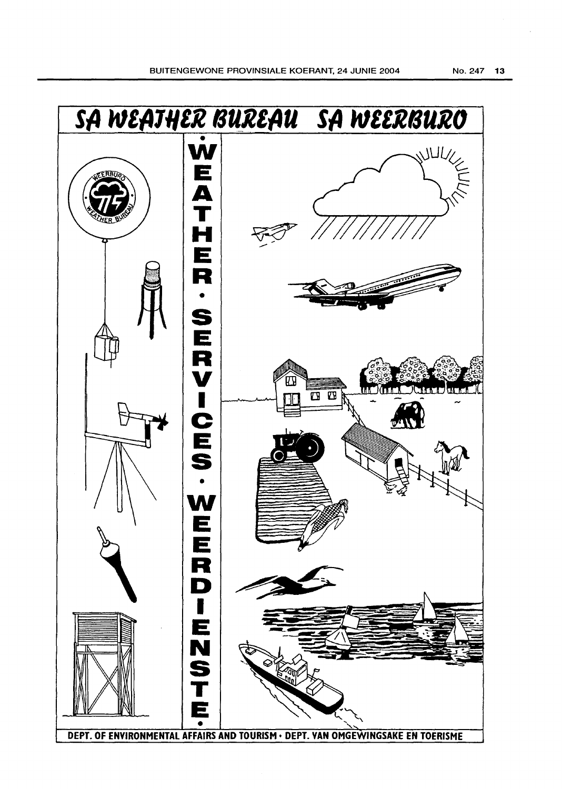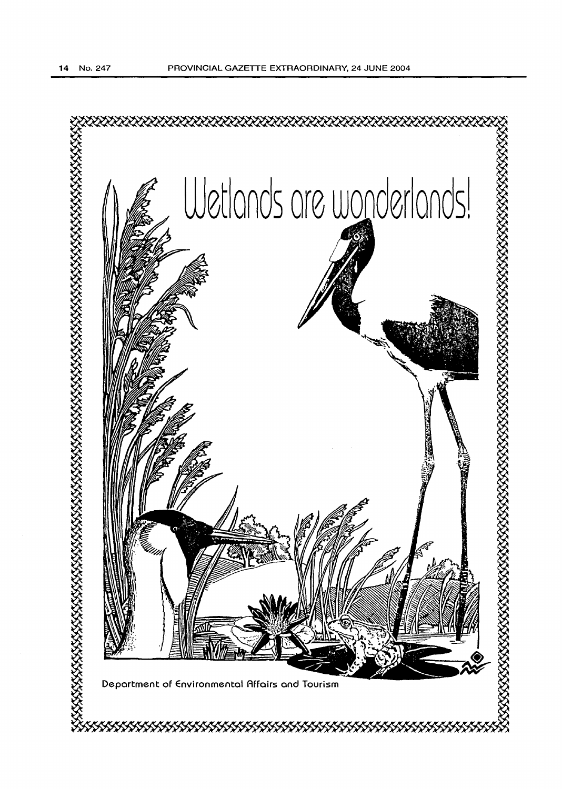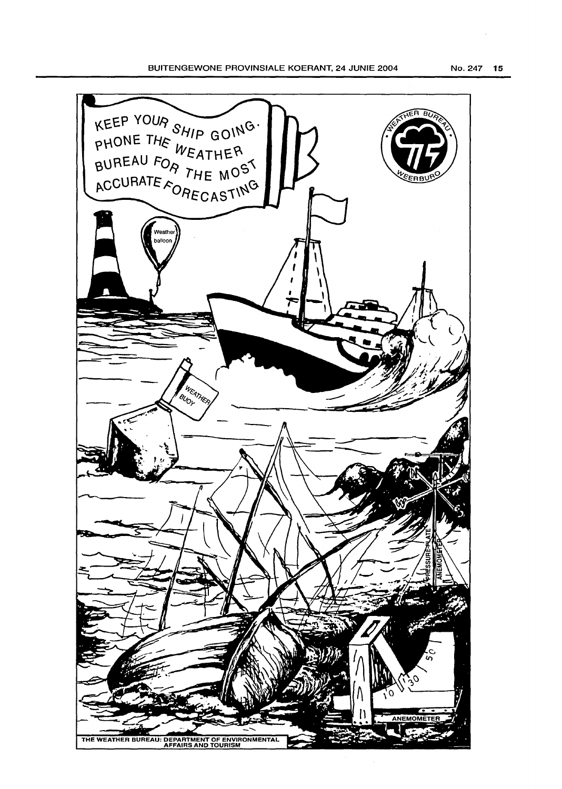